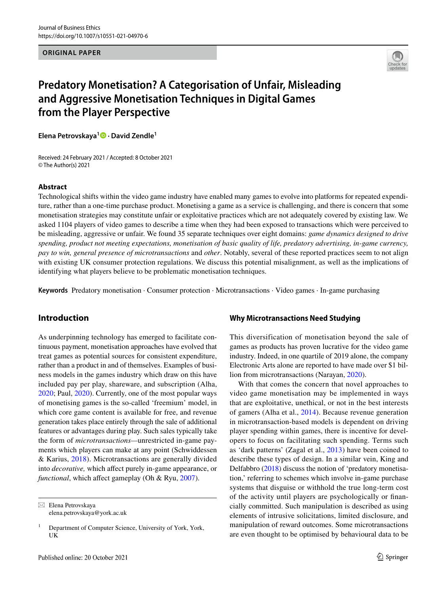**ORIGINAL PAPER**



# **Predatory Monetisation? A Categorisation of Unfair, Misleading and Aggressive Monetisation Techniques in Digital Games from the Player Perspective**

**Elena Petrovskaya<sup>1</sup>  [·](http://orcid.org/0000-0003-4276-6154) David Zendle1**

Received: 24 February 2021 / Accepted: 8 October 2021 © The Author(s) 2021

### **Abstract**

Technological shifts within the video game industry have enabled many games to evolve into platforms for repeated expenditure, rather than a one-time purchase product. Monetising a game as a service is challenging, and there is concern that some monetisation strategies may constitute unfair or exploitative practices which are not adequately covered by existing law. We asked 1104 players of video games to describe a time when they had been exposed to transactions which were perceived to be misleading, aggressive or unfair. We found 35 separate techniques over eight domains: *game dynamics designed to drive spending, product not meeting expectations, monetisation of basic quality of life, predatory advertising, in-game currency, pay to win, general presence of microtransactions* and *other*. Notably, several of these reported practices seem to not align with existing UK consumer protection regulations. We discuss this potential misalignment, as well as the implications of identifying what players believe to be problematic monetisation techniques.

**Keywords** Predatory monetisation · Consumer protection · Microtransactions · Video games · In-game purchasing

## **Introduction**

As underpinning technology has emerged to facilitate continuous payment, monetisation approaches have evolved that treat games as potential sources for consistent expenditure, rather than a product in and of themselves. Examples of business models in the games industry which draw on this have included pay per play, shareware, and subscription (Alha, [2020](#page-15-0); Paul, [2020\)](#page-15-1). Currently, one of the most popular ways of monetising games is the so-called 'freemium' model, in which core game content is available for free, and revenue generation takes place entirely through the sale of additional features or advantages during play. Such sales typically take the form of *microtransactions—*unrestricted in-game payments which players can make at any point (Schwiddessen & Karius, [2018\)](#page-15-2). Microtransactions are generally divided into *decorative*, which affect purely in-game appearance, or *functional*, which affect gameplay (Oh & Ryu, [2007](#page-15-3)).

 $\boxtimes$  Elena Petrovskaya elena.petrovskaya@york.ac.uk

### **Why Microtransactions Need Studying**

This diversification of monetisation beyond the sale of games as products has proven lucrative for the video game industry. Indeed, in one quartile of 2019 alone, the company Electronic Arts alone are reported to have made over \$1 billion from microtransactions (Narayan, [2020\)](#page-15-4).

With that comes the concern that novel approaches to video game monetisation may be implemented in ways that are exploitative, unethical, or not in the best interests of gamers (Alha et al., [2014](#page-15-5)). Because revenue generation in microtransaction-based models is dependent on driving player spending within games, there is incentive for developers to focus on facilitating such spending. Terms such as 'dark patterns' (Zagal et al., [2013](#page-16-0)) have been coined to describe these types of design. In a similar vein, King and Delfabbro ([2018\)](#page-15-6) discuss the notion of 'predatory monetisation,' referring to schemes which involve in-game purchase systems that disguise or withhold the true long-term cost of the activity until players are psychologically or fnancially committed. Such manipulation is described as using elements of intrusive solicitations, limited disclosure, and manipulation of reward outcomes. Some microtransactions are even thought to be optimised by behavioural data to be

<sup>&</sup>lt;sup>1</sup> Department of Computer Science, University of York, York, UK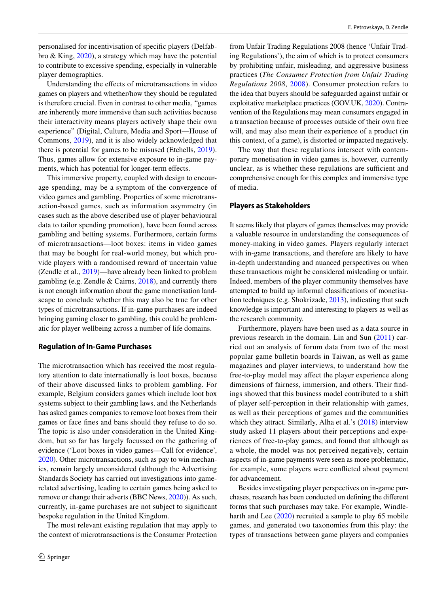personalised for incentivisation of specifc players (Delfabbro & King, [2020](#page-15-7)), a strategy which may have the potential to contribute to excessive spending, especially in vulnerable player demographics.

Understanding the efects of microtransactions in video games on players and whether/how they should be regulated is therefore crucial. Even in contrast to other media, "games are inherently more immersive than such activities because their interactivity means players actively shape their own experience" (Digital, Culture, Media and Sport—House of Commons, [2019\)](#page-15-8), and it is also widely acknowledged that there is potential for games to be misused (Etchells, [2019](#page-15-9)). Thus, games allow for extensive exposure to in-game payments, which has potential for longer-term effects.

This immersive property, coupled with design to encourage spending, may be a symptom of the convergence of video games and gambling. Properties of some microtransaction-based games, such as information asymmetry (in cases such as the above described use of player behavioural data to tailor spending promotion), have been found across gambling and betting systems. Furthermore, certain forms of microtransactions—loot boxes: items in video games that may be bought for real-world money, but which provide players with a randomised reward of uncertain value (Zendle et al., [2019\)](#page-16-1)—have already been linked to problem gambling (e.g. Zendle & Cairns, [2018\)](#page-16-2), and currently there is not enough information about the game monetisation landscape to conclude whether this may also be true for other types of microtransactions. If in-game purchases are indeed bringing gaming closer to gambling, this could be problematic for player wellbeing across a number of life domains.

#### **Regulation of In‑Game Purchases**

The microtransaction which has received the most regulatory attention to date internationally is loot boxes, because of their above discussed links to problem gambling. For example, Belgium considers games which include loot box systems subject to their gambling laws, and the Netherlands has asked games companies to remove loot boxes from their games or face fnes and bans should they refuse to do so. The topic is also under consideration in the United Kingdom, but so far has largely focussed on the gathering of evidence ('Loot boxes in video games—Call for evidence', [2020](#page-15-10)). Other microtransactions, such as pay to win mechanics, remain largely unconsidered (although the Advertising Standards Society has carried out investigations into gamerelated advertising, leading to certain games being asked to remove or change their adverts (BBC News, [2020\)](#page-15-11)). As such, currently, in-game purchases are not subject to signifcant bespoke regulation in the United Kingdom.

The most relevant existing regulation that may apply to the context of microtransactions is the Consumer Protection from Unfair Trading Regulations 2008 (hence 'Unfair Trading Regulations'), the aim of which is to protect consumers by prohibiting unfair, misleading, and aggressive business practices (*The Consumer Protection from Unfair Trading Regulations 2008*, [2008](#page-15-12)). Consumer protection refers to the idea that buyers should be safeguarded against unfair or exploitative marketplace practices (GOV.UK, [2020](#page-15-13)). Contravention of the Regulations may mean consumers engaged in a transaction because of processes outside of their own free will, and may also mean their experience of a product (in this context, of a game), is distorted or impacted negatively.

The way that these regulations intersect with contemporary monetisation in video games is, however, currently unclear, as is whether these regulations are sufficient and comprehensive enough for this complex and immersive type of media.

#### **Players as Stakeholders**

It seems likely that players of games themselves may provide a valuable resource in understanding the consequences of money-making in video games. Players regularly interact with in-game transactions, and therefore are likely to have in-depth understanding and nuanced perspectives on when these transactions might be considered misleading or unfair. Indeed, members of the player community themselves have attempted to build up informal classifcations of monetisation techniques (e.g. Shokrizade, [2013](#page-15-14)), indicating that such knowledge is important and interesting to players as well as the research community.

Furthermore, players have been used as a data source in previous research in the domain. Lin and Sun ([2011](#page-15-15)) carried out an analysis of forum data from two of the most popular game bulletin boards in Taiwan, as well as game magazines and player interviews, to understand how the free-to-play model may afect the player experience along dimensions of fairness, immersion, and others. Their fndings showed that this business model contributed to a shift of player self-perception in their relationship with games, as well as their perceptions of games and the communities which they attract. Similarly, Alha et al.'s ([2018](#page-15-16)) interview study asked 11 players about their perceptions and experiences of free-to-play games, and found that although as a whole, the model was not perceived negatively, certain aspects of in-game payments were seen as more problematic, for example, some players were conficted about payment for advancement.

Besides investigating player perspectives on in-game purchases, research has been conducted on defning the diferent forms that such purchases may take. For example, Windleharth and Lee ([2020\)](#page-15-17) recruited a sample to play 65 mobile games, and generated two taxonomies from this play: the types of transactions between game players and companies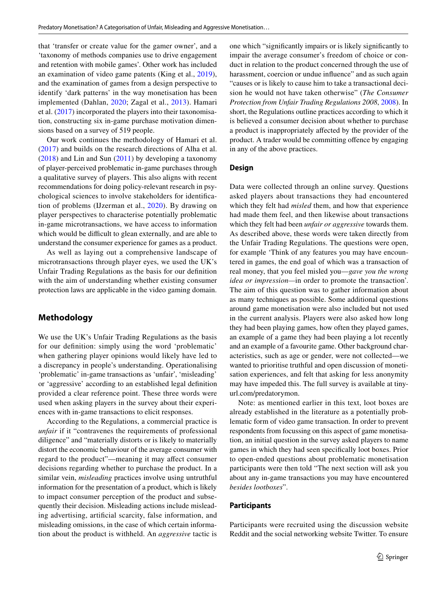that 'transfer or create value for the gamer owner', and a 'taxonomy of methods companies use to drive engagement and retention with mobile games'. Other work has included an examination of video game patents (King et al., [2019](#page-15-18)), and the examination of games from a design perspective to identify 'dark patterns' in the way monetisation has been implemented (Dahlan, [2020](#page-15-19); Zagal et al., [2013\)](#page-16-0). Hamari et al. ([2017](#page-15-20)) incorporated the players into their taxonomisation, constructing six in-game purchase motivation dimensions based on a survey of 519 people.

Our work continues the methodology of Hamari et al. [\(2017\)](#page-15-20) and builds on the research directions of Alha et al. [\(2018\)](#page-15-16) and Lin and Sun ([2011](#page-15-15)) by developing a taxonomy of player-perceived problematic in-game purchases through a qualitative survey of players. This also aligns with recent recommendations for doing policy-relevant research in psychological sciences to involve stakeholders for identifcation of problems (IJzerman et al., [2020](#page-15-21)). By drawing on player perspectives to characterise potentially problematic in-game microtransactions, we have access to information which would be difficult to glean externally, and are able to understand the consumer experience for games as a product.

As well as laying out a comprehensive landscape of microtransactions through player eyes, we used the UK's Unfair Trading Regulations as the basis for our defnition with the aim of understanding whether existing consumer protection laws are applicable in the video gaming domain.

## **Methodology**

We use the UK's Unfair Trading Regulations as the basis for our defnition: simply using the word 'problematic' when gathering player opinions would likely have led to a discrepancy in people's understanding. Operationalising 'problematic' in-game transactions as 'unfair', 'misleading' or 'aggressive' according to an established legal defnition provided a clear reference point. These three words were used when asking players in the survey about their experiences with in-game transactions to elicit responses.

According to the Regulations, a commercial practice is *unfair* if it "contravenes the requirements of professional diligence" and "materially distorts or is likely to materially distort the economic behaviour of the average consumer with regard to the product"—meaning it may afect consumer decisions regarding whether to purchase the product. In a similar vein, *misleading* practices involve using untruthful information for the presentation of a product, which is likely to impact consumer perception of the product and subsequently their decision. Misleading actions include misleading advertising, artifcial scarcity, false information, and misleading omissions, in the case of which certain information about the product is withheld. An *aggressive* tactic is one which "signifcantly impairs or is likely signifcantly to impair the average consumer's freedom of choice or conduct in relation to the product concerned through the use of harassment, coercion or undue infuence" and as such again "causes or is likely to cause him to take a transactional decision he would not have taken otherwise" (*The Consumer Protection from Unfair Trading Regulations 2008*, [2008\)](#page-15-12). In short, the Regulations outline practices according to which it is believed a consumer decision about whether to purchase a product is inappropriately afected by the provider of the product. A trader would be committing ofence by engaging in any of the above practices.

### **Design**

Data were collected through an online survey. Questions asked players about transactions they had encountered which they felt had *misled* them, and how that experience had made them feel, and then likewise about transactions which they felt had been *unfair or aggressive* towards them. As described above, these words were taken directly from the Unfair Trading Regulations. The questions were open, for example 'Think of any features you may have encountered in games, the end goal of which was a transaction of real money, that you feel misled you—*gave you the wrong idea or impression—*in order to promote the transaction'. The aim of this question was to gather information about as many techniques as possible. Some additional questions around game monetisation were also included but not used in the current analysis. Players were also asked how long they had been playing games, how often they played games, an example of a game they had been playing a lot recently and an example of a favourite game. Other background characteristics, such as age or gender, were not collected—we wanted to prioritise truthful and open discussion of monetisation experiences, and felt that asking for less anonymity may have impeded this. The full survey is available at tinyurl.com/predatorymon.

Note: as mentioned earlier in this text, loot boxes are already established in the literature as a potentially problematic form of video game transaction. In order to prevent respondents from focussing on this aspect of game monetisation, an initial question in the survey asked players to name games in which they had seen specifcally loot boxes. Prior to open-ended questions about problematic monetisation participants were then told "The next section will ask you about any in-game transactions you may have encountered *besides lootboxes*".

#### **Participants**

Participants were recruited using the discussion website Reddit and the social networking website Twitter. To ensure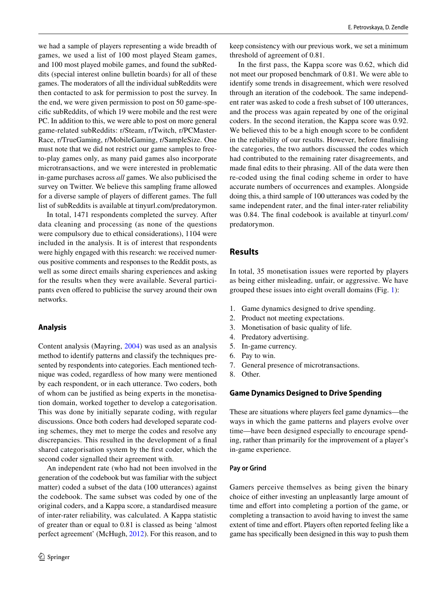we had a sample of players representing a wide breadth of games, we used a list of 100 most played Steam games, and 100 most played mobile games, and found the subReddits (special interest online bulletin boards) for all of these games. The moderators of all the individual subReddits were then contacted to ask for permission to post the survey. In the end, we were given permission to post on 50 game-specifc subReddits, of which 19 were mobile and the rest were PC. In addition to this, we were able to post on more general game-related subReddits: r/Steam, r/Twitch, r/PCMaster-Race, r/TrueGaming, r/MobileGaming, r/SampleSize. One must note that we did not restrict our game samples to freeto-play games only, as many paid games also incorporate microtransactions, and we were interested in problematic in-game purchases across *all* games. We also publicised the survey on Twitter. We believe this sampling frame allowed for a diverse sample of players of diferent games. The full list of subReddits is available at tinyurl.com/predatorymon.

In total, 1471 respondents completed the survey. After data cleaning and processing (as none of the questions were compulsory due to ethical considerations), 1104 were included in the analysis. It is of interest that respondents were highly engaged with this research: we received numerous positive comments and responses to the Reddit posts, as well as some direct emails sharing experiences and asking for the results when they were available. Several participants even offered to publicise the survey around their own networks.

### **Analysis**

Content analysis (Mayring, [2004](#page-15-22)) was used as an analysis method to identify patterns and classify the techniques presented by respondents into categories. Each mentioned technique was coded, regardless of how many were mentioned by each respondent, or in each utterance. Two coders, both of whom can be justifed as being experts in the monetisation domain, worked together to develop a categorisation. This was done by initially separate coding, with regular discussions. Once both coders had developed separate coding schemes, they met to merge the codes and resolve any discrepancies. This resulted in the development of a fnal shared categorisation system by the frst coder, which the second coder signalled their agreement with.

An independent rate (who had not been involved in the generation of the codebook but was familiar with the subject matter) coded a subset of the data (100 utterances) against the codebook. The same subset was coded by one of the original coders, and a Kappa score, a standardised measure of inter-rater reliability, was calculated. A Kappa statistic of greater than or equal to 0.81 is classed as being 'almost perfect agreement' (McHugh, [2012](#page-15-23)). For this reason, and to keep consistency with our previous work, we set a minimum threshold of agreement of 0.81.

In the frst pass, the Kappa score was 0.62, which did not meet our proposed benchmark of 0.81. We were able to identify some trends in disagreement, which were resolved through an iteration of the codebook. The same independent rater was asked to code a fresh subset of 100 utterances, and the process was again repeated by one of the original coders. In the second iteration, the Kappa score was 0.92. We believed this to be a high enough score to be confident in the reliability of our results. However, before fnalising the categories, the two authors discussed the codes which had contributed to the remaining rater disagreements, and made fnal edits to their phrasing. All of the data were then re-coded using the fnal coding scheme in order to have accurate numbers of occurrences and examples. Alongside doing this, a third sample of 100 utterances was coded by the same independent rater, and the fnal inter-rater reliability was 0.84. The fnal codebook is available at tinyurl.com/ predatorymon.

## **Results**

In total, 35 monetisation issues were reported by players as being either misleading, unfair, or aggressive. We have grouped these issues into eight overall domains (Fig. [1](#page-4-0)):

- 1. Game dynamics designed to drive spending.
- 2. Product not meeting expectations.
- 3. Monetisation of basic quality of life.
- 4. Predatory advertising.
- 5. In-game currency.
- 6. Pay to win.
- 7. General presence of microtransactions.
- 8. Other.

### **Game Dynamics Designed to Drive Spending**

These are situations where players feel game dynamics—the ways in which the game patterns and players evolve over time—have been designed especially to encourage spending, rather than primarily for the improvement of a player's in-game experience.

### **Pay or Grind**

Gamers perceive themselves as being given the binary choice of either investing an unpleasantly large amount of time and effort into completing a portion of the game, or completing a transaction to avoid having to invest the same extent of time and effort. Players often reported feeling like a game has specifcally been designed in this way to push them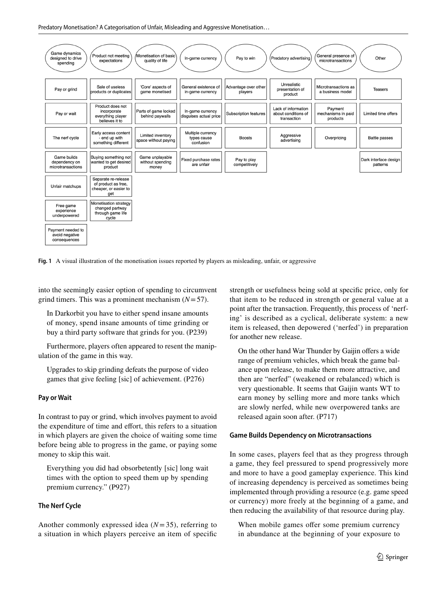Predatory Monetisation? A Categorisation of Unfair, Misleading and Aggressive Monetisation…



<span id="page-4-0"></span>**Fig. 1** A visual illustration of the monetisation issues reported by players as misleading, unfair, or aggressive

into the seemingly easier option of spending to circumvent grind timers. This was a prominent mechanism (*N*=57).

In Darkorbit you have to either spend insane amounts of money, spend insane amounts of time grinding or buy a third party software that grinds for you. (P239)

Furthermore, players often appeared to resent the manipulation of the game in this way.

Upgrades to skip grinding defeats the purpose of video games that give feeling [sic] of achievement. (P276)

### **Pay or Wait**

In contrast to pay or grind, which involves payment to avoid the expenditure of time and efort, this refers to a situation in which players are given the choice of waiting some time before being able to progress in the game, or paying some money to skip this wait.

Everything you did had obsorbetently [sic] long wait times with the option to speed them up by spending premium currency." (P927)

## **The Nerf Cycle**

Another commonly expressed idea (*N*=35), referring to a situation in which players perceive an item of specifc strength or usefulness being sold at specifc price, only for that item to be reduced in strength or general value at a point after the transaction. Frequently, this process of 'nerfing' is described as a cyclical, deliberate system: a new item is released, then depowered ('nerfed') in preparation for another new release.

On the other hand War Thunder by Gaijin offers a wide range of premium vehicles, which break the game balance upon release, to make them more attractive, and then are "nerfed" (weakened or rebalanced) which is very questionable. It seems that Gaijin wants WT to earn money by selling more and more tanks which are slowly nerfed, while new overpowered tanks are released again soon after. (P717)

### **Game Builds Dependency on Microtransactions**

In some cases, players feel that as they progress through a game, they feel pressured to spend progressively more and more to have a good gameplay experience. This kind of increasing dependency is perceived as sometimes being implemented through providing a resource (e.g. game speed or currency) more freely at the beginning of a game, and then reducing the availability of that resource during play.

When mobile games offer some premium currency in abundance at the beginning of your exposure to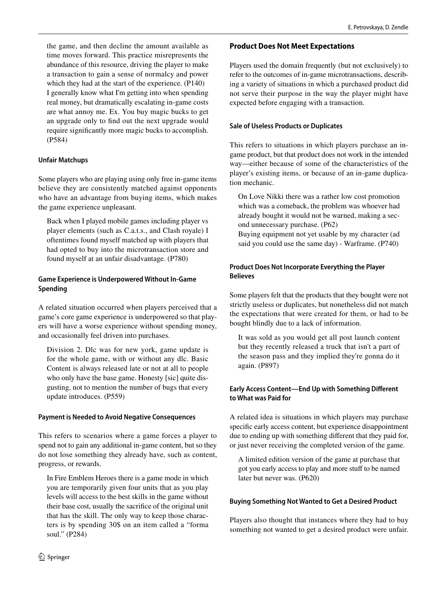the game, and then decline the amount available as time moves forward. This practice misrepresents the abundance of this resource, driving the player to make a transaction to gain a sense of normalcy and power which they had at the start of the experience. (P140) I generally know what I'm getting into when spending real money, but dramatically escalating in-game costs are what annoy me. Ex. You buy magic bucks to get an upgrade only to fnd out the next upgrade would require signifcantly more magic bucks to accomplish. (P584)

### **Unfair Matchups**

Some players who are playing using only free in-game items believe they are consistently matched against opponents who have an advantage from buying items, which makes the game experience unpleasant.

Back when I played mobile games including player vs player elements (such as C.a.t.s., and Clash royale) I oftentimes found myself matched up with players that had opted to buy into the microtransaction store and found myself at an unfair disadvantage. (P780)

## **Game Experience is Underpowered Without In‑Game Spending**

A related situation occurred when players perceived that a game's core game experience is underpowered so that players will have a worse experience without spending money, and occasionally feel driven into purchases.

Division 2. Dlc was for new york, game update is for the whole game, with or without any dlc. Basic Content is always released late or not at all to people who only have the base game. Honesty [sic] quite disgusting, not to mention the number of bugs that every update introduces. (P559)

### **Payment is Needed to Avoid Negative Consequences**

This refers to scenarios where a game forces a player to spend not to gain any additional in-game content, but so they do not lose something they already have, such as content, progress, or rewards.

In Fire Emblem Heroes there is a game mode in which you are temporarily given four units that as you play levels will access to the best skills in the game without their base cost, usually the sacrifce of the original unit that has the skill. The only way to keep those characters is by spending 30\$ on an item called a "forma soul." (P284)

### **Product Does Not Meet Expectations**

Players used the domain frequently (but not exclusively) to refer to the outcomes of in-game microtransactions, describing a variety of situations in which a purchased product did not serve their purpose in the way the player might have expected before engaging with a transaction.

### **Sale of Useless Products or Duplicates**

This refers to situations in which players purchase an ingame product, but that product does not work in the intended way—either because of some of the characteristics of the player's existing items, or because of an in-game duplication mechanic.

On Love Nikki there was a rather low cost promotion which was a comeback, the problem was whoever had already bought it would not be warned, making a second unnecessary purchase. (P62)

Buying equipment not yet usable by my character (ad said you could use the same day) - Warframe. (P740)

## **Product Does Not Incorporate Everything the Player Believes**

Some players felt that the products that they bought were not strictly useless or duplicates, but nonetheless did not match the expectations that were created for them, or had to be bought blindly due to a lack of information.

It was sold as you would get all post launch content but they recently released a truck that isn't a part of the season pass and they implied they're gonna do it again. (P897)

## **Early Access Content—End Up with Something Diferent to What was Paid for**

A related idea is situations in which players may purchase specific early access content, but experience disappointment due to ending up with something diferent that they paid for, or just never receiving the completed version of the game.

A limited edition version of the game at purchase that got you early access to play and more stuf to be named later but never was. (P620)

## **Buying Something Not Wanted to Get a Desired Product**

Players also thought that instances where they had to buy something not wanted to get a desired product were unfair.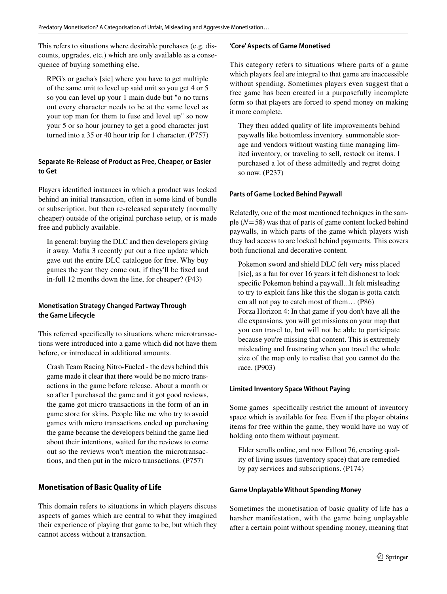This refers to situations where desirable purchases (e.g. discounts, upgrades, etc.) which are only available as a consequence of buying something else.

RPG's or gacha's [sic] where you have to get multiple of the same unit to level up said unit so you get 4 or 5 so you can level up your 1 main dude but "o no turns out every character needs to be at the same level as your top man for them to fuse and level up" so now your 5 or so hour journey to get a good character just turned into a 35 or 40 hour trip for 1 character. (P757)

### **Separate Re‑Release of Product as Free, Cheaper, or Easier to Get**

Players identifed instances in which a product was locked behind an initial transaction, often in some kind of bundle or subscription, but then re-released separately (normally cheaper) outside of the original purchase setup, or is made free and publicly available.

In general: buying the DLC and then developers giving it away. Mafa 3 recently put out a free update which gave out the entire DLC catalogue for free. Why buy games the year they come out, if they'll be fxed and in-full 12 months down the line, for cheaper? (P43)

## **Monetisation Strategy Changed Partway Through the Game Lifecycle**

This referred specifcally to situations where microtransactions were introduced into a game which did not have them before, or introduced in additional amounts.

Crash Team Racing Nitro-Fueled - the devs behind this game made it clear that there would be no micro transactions in the game before release. About a month or so after I purchased the game and it got good reviews, the game got micro transactions in the form of an in game store for skins. People like me who try to avoid games with micro transactions ended up purchasing the game because the developers behind the game lied about their intentions, waited for the reviews to come out so the reviews won't mention the microtransactions, and then put in the micro transactions. (P757)

## **Monetisation of Basic Quality of Life**

This domain refers to situations in which players discuss aspects of games which are central to what they imagined their experience of playing that game to be, but which they cannot access without a transaction.

### **'Core' Aspects of Game Monetised**

This category refers to situations where parts of a game which players feel are integral to that game are inaccessible without spending. Sometimes players even suggest that a free game has been created in a purposefully incomplete form so that players are forced to spend money on making it more complete.

They then added quality of life improvements behind paywalls like bottomless inventory. summonable storage and vendors without wasting time managing limited inventory, or traveling to sell, restock on items. I purchased a lot of these admittedly and regret doing so now. (P237)

### **Parts of Game Locked Behind Paywall**

Relatedly, one of the most mentioned techniques in the sample (*N*=58) was that of parts of game content locked behind paywalls, in which parts of the game which players wish they had access to are locked behind payments. This covers both functional and decorative content.

Pokemon sword and shield DLC felt very miss placed [sic], as a fan for over 16 years it felt dishonest to lock specifc Pokemon behind a paywall...It felt misleading to try to exploit fans like this the slogan is gotta catch em all not pay to catch most of them… (P86) Forza Horizon 4: In that game if you don't have all the dlc expansions, you will get missions on your map that you can travel to, but will not be able to participate because you're missing that content. This is extremely misleading and frustrating when you travel the whole size of the map only to realise that you cannot do the race. (P903)

### **Limited Inventory Space Without Paying**

Some games specifcally restrict the amount of inventory space which is available for free. Even if the player obtains items for free within the game, they would have no way of holding onto them without payment.

Elder scrolls online, and now Fallout 76, creating quality of living issues (inventory space) that are remedied by pay services and subscriptions. (P174)

### **Game Unplayable Without Spending Money**

Sometimes the monetisation of basic quality of life has a harsher manifestation, with the game being unplayable after a certain point without spending money, meaning that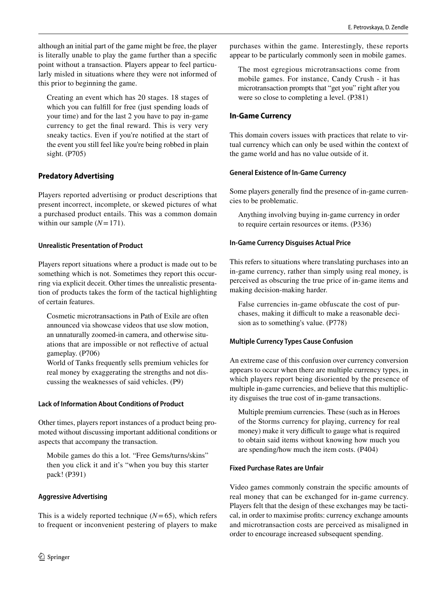although an initial part of the game might be free, the player is literally unable to play the game further than a specifc point without a transaction. Players appear to feel particularly misled in situations where they were not informed of this prior to beginning the game.

Creating an event which has 20 stages. 18 stages of which you can fulfill for free (just spending loads of your time) and for the last 2 you have to pay in-game currency to get the fnal reward. This is very very sneaky tactics. Even if you're notifed at the start of the event you still feel like you're being robbed in plain sight. (P705)

## **Predatory Advertising**

Players reported advertising or product descriptions that present incorrect, incomplete, or skewed pictures of what a purchased product entails. This was a common domain within our sample  $(N=171)$ .

## **Unrealistic Presentation of Product**

Players report situations where a product is made out to be something which is not. Sometimes they report this occurring via explicit deceit. Other times the unrealistic presentation of products takes the form of the tactical highlighting of certain features.

Cosmetic microtransactions in Path of Exile are often announced via showcase videos that use slow motion, an unnaturally zoomed-in camera, and otherwise situations that are impossible or not refective of actual gameplay. (P706)

World of Tanks frequently sells premium vehicles for real money by exaggerating the strengths and not discussing the weaknesses of said vehicles. (P9)

## **Lack of Information About Conditions of Product**

Other times, players report instances of a product being promoted without discussing important additional conditions or aspects that accompany the transaction.

Mobile games do this a lot. "Free Gems/turns/skins" then you click it and it's "when you buy this starter pack! (P391)

## **Aggressive Advertising**

This is a widely reported technique  $(N=65)$ , which refers to frequent or inconvenient pestering of players to make purchases within the game. Interestingly, these reports appear to be particularly commonly seen in mobile games.

The most egregious microtransactions come from mobile games. For instance, Candy Crush - it has microtransaction prompts that "get you" right after you were so close to completing a level. (P381)

## **In‑Game Currency**

This domain covers issues with practices that relate to virtual currency which can only be used within the context of the game world and has no value outside of it.

## **General Existence of In‑Game Currency**

Some players generally fnd the presence of in-game currencies to be problematic.

Anything involving buying in-game currency in order to require certain resources or items. (P336)

## **In‑Game Currency Disguises Actual Price**

This refers to situations where translating purchases into an in-game currency, rather than simply using real money, is perceived as obscuring the true price of in-game items and making decision-making harder.

False currencies in-game obfuscate the cost of purchases, making it difficult to make a reasonable decision as to something's value. (P778)

## **Multiple Currency Types Cause Confusion**

An extreme case of this confusion over currency conversion appears to occur when there are multiple currency types, in which players report being disoriented by the presence of multiple in-game currencies, and believe that this multiplicity disguises the true cost of in-game transactions.

Multiple premium currencies. These (such as in Heroes of the Storms currency for playing, currency for real money) make it very difficult to gauge what is required to obtain said items without knowing how much you are spending/how much the item costs. (P404)

## **Fixed Purchase Rates are Unfair**

Video games commonly constrain the specifc amounts of real money that can be exchanged for in-game currency. Players felt that the design of these exchanges may be tactical, in order to maximise profts: currency exchange amounts and microtransaction costs are perceived as misaligned in order to encourage increased subsequent spending.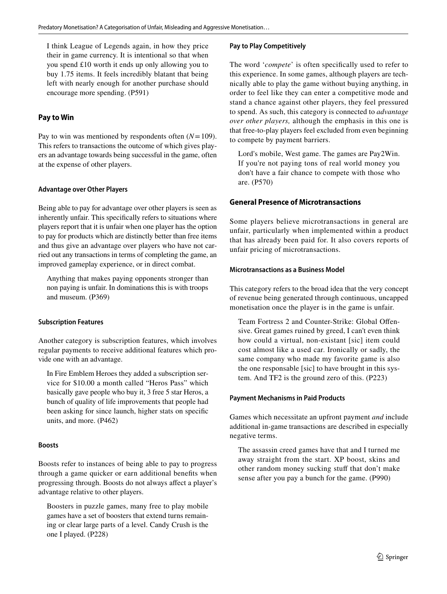I think League of Legends again, in how they price their in game currency. It is intentional so that when you spend £10 worth it ends up only allowing you to buy 1.75 items. It feels incredibly blatant that being left with nearly enough for another purchase should encourage more spending. (P591)

## **Pay to Win**

Pay to win was mentioned by respondents often  $(N=109)$ . This refers to transactions the outcome of which gives players an advantage towards being successful in the game, often at the expense of other players.

## **Advantage over Other Players**

Being able to pay for advantage over other players is seen as inherently unfair. This specifcally refers to situations where players report that it is unfair when one player has the option to pay for products which are distinctly better than free items and thus give an advantage over players who have not carried out any transactions in terms of completing the game, an improved gameplay experience, or in direct combat.

Anything that makes paying opponents stronger than non paying is unfair. In dominations this is with troops and museum. (P369)

### **Subscription Features**

Another category is subscription features, which involves regular payments to receive additional features which provide one with an advantage.

In Fire Emblem Heroes they added a subscription service for \$10.00 a month called "Heros Pass" which basically gave people who buy it, 3 free 5 star Heros, a bunch of quality of life improvements that people had been asking for since launch, higher stats on specifc units, and more. (P462)

## **Boosts**

Boosts refer to instances of being able to pay to progress through a game quicker or earn additional benefts when progressing through. Boosts do not always afect a player's advantage relative to other players.

Boosters in puzzle games, many free to play mobile games have a set of boosters that extend turns remaining or clear large parts of a level. Candy Crush is the one I played. (P228)

### **Pay to Play Competitively**

The word '*compete*' is often specifically used to refer to this experience. In some games, although players are technically able to play the game without buying anything, in order to feel like they can enter a competitive mode and stand a chance against other players, they feel pressured to spend. As such, this category is connected to *advantage over other players,* although the emphasis in this one is that free-to-play players feel excluded from even beginning to compete by payment barriers.

Lord's mobile, West game. The games are Pay2Win. If you're not paying tons of real world money you don't have a fair chance to compete with those who are. (P570)

## **General Presence of Microtransactions**

Some players believe microtransactions in general are unfair, particularly when implemented within a product that has already been paid for. It also covers reports of unfair pricing of microtransactions.

### **Microtransactions as a Business Model**

This category refers to the broad idea that the very concept of revenue being generated through continuous, uncapped monetisation once the player is in the game is unfair.

Team Fortress 2 and Counter-Strike: Global Ofensive. Great games ruined by greed, I can't even think how could a virtual, non-existant [sic] item could cost almost like a used car. Ironically or sadly, the same company who made my favorite game is also the one responsable [sic] to have brought in this system. And TF2 is the ground zero of this. (P223)

### **Payment Mechanisms in Paid Products**

Games which necessitate an upfront payment *and* include additional in-game transactions are described in especially negative terms.

The assassin creed games have that and I turned me away straight from the start. XP boost, skins and other random money sucking stuff that don't make sense after you pay a bunch for the game. (P990)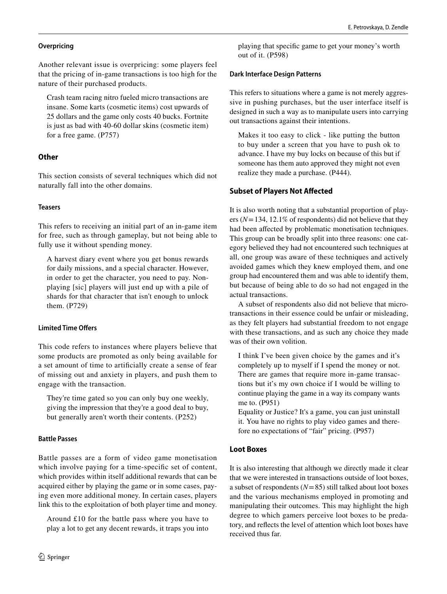### **Overpricing**

Another relevant issue is overpricing: some players feel that the pricing of in-game transactions is too high for the nature of their purchased products.

Crash team racing nitro fueled micro transactions are insane. Some karts (cosmetic items) cost upwards of 25 dollars and the game only costs 40 bucks. Fortnite is just as bad with 40-60 dollar skins (cosmetic item) for a free game. (P757)

## **Other**

This section consists of several techniques which did not naturally fall into the other domains.

## **Teasers**

This refers to receiving an initial part of an in-game item for free, such as through gameplay, but not being able to fully use it without spending money.

A harvest diary event where you get bonus rewards for daily missions, and a special character. However, in order to get the character, you need to pay. Nonplaying [sic] players will just end up with a pile of shards for that character that isn't enough to unlock them. (P729)

## **Limited Time Ofers**

This code refers to instances where players believe that some products are promoted as only being available for a set amount of time to artifcially create a sense of fear of missing out and anxiety in players, and push them to engage with the transaction.

They're time gated so you can only buy one weekly, giving the impression that they're a good deal to buy, but generally aren't worth their contents. (P252)

## **Battle Passes**

Battle passes are a form of video game monetisation which involve paying for a time-specifc set of content, which provides within itself additional rewards that can be acquired either by playing the game or in some cases, paying even more additional money. In certain cases, players link this to the exploitation of both player time and money.

Around £10 for the battle pass where you have to play a lot to get any decent rewards, it traps you into playing that specifc game to get your money's worth out of it. (P598)

### **Dark Interface Design Patterns**

This refers to situations where a game is not merely aggressive in pushing purchases, but the user interface itself is designed in such a way as to manipulate users into carrying out transactions against their intentions.

Makes it too easy to click - like putting the button to buy under a screen that you have to push ok to advance. I have my buy locks on because of this but if someone has them auto approved they might not even realize they made a purchase. (P444).

## **Subset of Players Not Afected**

It is also worth noting that a substantial proportion of players (*N*=134, 12.1% of respondents) did not believe that they had been afected by problematic monetisation techniques. This group can be broadly split into three reasons: one category believed they had not encountered such techniques at all, one group was aware of these techniques and actively avoided games which they knew employed them, and one group had encountered them and was able to identify them, but because of being able to do so had not engaged in the actual transactions.

A subset of respondents also did not believe that microtransactions in their essence could be unfair or misleading, as they felt players had substantial freedom to not engage with these transactions, and as such any choice they made was of their own volition.

I think I've been given choice by the games and it's completely up to myself if I spend the money or not. There are games that require more in-game transactions but it's my own choice if I would be willing to continue playing the game in a way its company wants me to. (P951)

Equality or Justice? It's a game, you can just uninstall it. You have no rights to play video games and therefore no expectations of "fair" pricing. (P957)

## **Loot Boxes**

It is also interesting that although we directly made it clear that we were interested in transactions outside of loot boxes, a subset of respondents (*N*=85) still talked about loot boxes and the various mechanisms employed in promoting and manipulating their outcomes. This may highlight the high degree to which gamers perceive loot boxes to be predatory, and refects the level of attention which loot boxes have received thus far.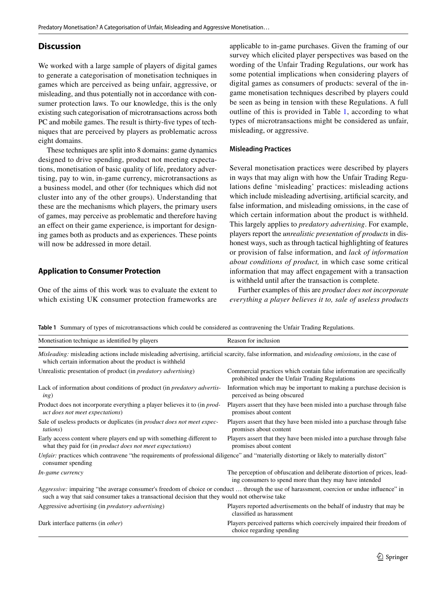## **Discussion**

We worked with a large sample of players of digital games to generate a categorisation of monetisation techniques in games which are perceived as being unfair, aggressive, or misleading, and thus potentially not in accordance with consumer protection laws. To our knowledge, this is the only existing such categorisation of microtransactions across both PC and mobile games. The result is thirty-fve types of techniques that are perceived by players as problematic across eight domains.

These techniques are split into 8 domains: game dynamics designed to drive spending, product not meeting expectations, monetisation of basic quality of life, predatory advertising, pay to win, in-game currency, microtransactions as a business model, and other (for techniques which did not cluster into any of the other groups). Understanding that these are the mechanisms which players, the primary users of games, may perceive as problematic and therefore having an effect on their game experience, is important for designing games both as products and as experiences. These points will now be addressed in more detail.

## **Application to Consumer Protection**

One of the aims of this work was to evaluate the extent to which existing UK consumer protection frameworks are applicable to in-game purchases. Given the framing of our survey which elicited player perspectives was based on the wording of the Unfair Trading Regulations, our work has some potential implications when considering players of digital games as consumers of products: several of the ingame monetisation techniques described by players could be seen as being in tension with these Regulations. A full outline of this is provided in Table [1,](#page-10-0) according to what types of microtransactions might be considered as unfair, misleading, or aggressive.

#### **Misleading Practices**

Several monetisation practices were described by players in ways that may align with how the Unfair Trading Regulations defne 'misleading' practices: misleading actions which include misleading advertising, artifcial scarcity, and false information, and misleading omissions, in the case of which certain information about the product is withheld. This largely applies to *predatory advertising*. For example, players report the *unrealistic presentation of products* in dishonest ways, such as through tactical highlighting of features or provision of false information, and *lack of information about conditions of product,* in which case some critical information that may afect engagement with a transaction is withheld until after the transaction is complete.

Further examples of this are *product does not incorporate everything a player believes it to, sale of useless products* 

<span id="page-10-0"></span>**Table 1** Summary of types of microtransactions which could be considered as contravening the Unfair Trading Regulations.

| Monetisation technique as identified by players                                                                                                                                                                                               | Reason for inclusion                                                                                                                |
|-----------------------------------------------------------------------------------------------------------------------------------------------------------------------------------------------------------------------------------------------|-------------------------------------------------------------------------------------------------------------------------------------|
| Misleading: misleading actions include misleading advertising, artificial scarcity, false information, and <i>misleading omissions</i> , in the case of<br>which certain information about the product is withheld                            |                                                                                                                                     |
| Unrealistic presentation of product (in <i>predatory advertising</i> )                                                                                                                                                                        | Commercial practices which contain false information are specifically<br>prohibited under the Unfair Trading Regulations            |
| Lack of information about conditions of product (in <i>predatory advertis-</i><br>ing)                                                                                                                                                        | Information which may be important to making a purchase decision is<br>perceived as being obscured                                  |
| Product does not incorporate everything a player believes it to (in <i>prod</i> -<br><i>uct does not meet expectations</i> )                                                                                                                  | Players assert that they have been misled into a purchase through false<br>promises about content                                   |
| Sale of useless products or duplicates (in <i>product does not meet expec-</i><br><i>tations</i> )                                                                                                                                            | Players assert that they have been misled into a purchase through false<br>promises about content                                   |
| Early access content where players end up with something different to<br>what they paid for (in <i>product does not meet expectations</i> )                                                                                                   | Players assert that they have been misled into a purchase through false<br>promises about content                                   |
| Unfair: practices which contravene "the requirements of professional diligence" and "materially distorting or likely to materially distort"<br>consumer spending                                                                              |                                                                                                                                     |
| In-game currency                                                                                                                                                                                                                              | The perception of obfuscation and deliberate distortion of prices, lead-<br>ing consumers to spend more than they may have intended |
| Aggressive: impairing "the average consumer's freedom of choice or conduct  through the use of harassment, coercion or undue influence" in<br>such a way that said consumer takes a transactional decision that they would not otherwise take |                                                                                                                                     |
| Aggressive advertising (in <i>predatory advertising</i> )                                                                                                                                                                                     | Players reported advertisements on the behalf of industry that may be<br>classified as harassment                                   |
| Dark interface patterns (in <i>other</i> )                                                                                                                                                                                                    | Players perceived patterns which coercively impaired their freedom of<br>choice regarding spending                                  |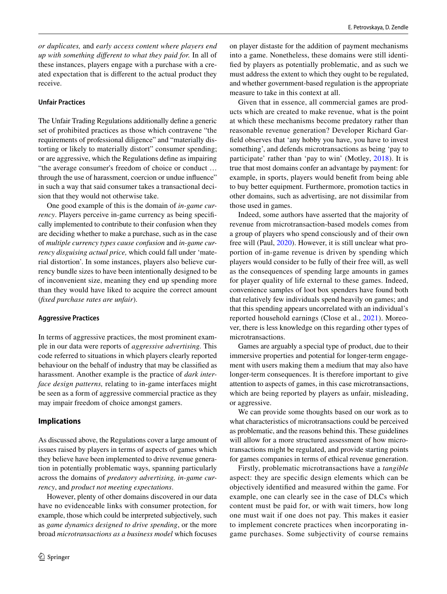*or duplicates,* and *early access content where players end up with something diferent to what they paid for.* In all of these instances, players engage with a purchase with a created expectation that is diferent to the actual product they receive.

### **Unfair Practices**

The Unfair Trading Regulations additionally defne a generic set of prohibited practices as those which contravene "the requirements of professional diligence" and "materially distorting or likely to materially distort" consumer spending; or are aggressive, which the Regulations defne as impairing "the average consumer's freedom of choice or conduct … through the use of harassment, coercion or undue infuence" in such a way that said consumer takes a transactional decision that they would not otherwise take.

One good example of this is the domain of *in-game currency*. Players perceive in-game currency as being specifically implemented to contribute to their confusion when they are deciding whether to make a purchase, such as in the case of *multiple currency types cause confusion* and *in-game currency disguising actual price,* which could fall under 'material distortion'. In some instances, players also believe currency bundle sizes to have been intentionally designed to be of inconvenient size, meaning they end up spending more than they would have liked to acquire the correct amount (*fxed purchase rates are unfair*).

#### **Aggressive Practices**

In terms of aggressive practices, the most prominent example in our data were reports of *aggressive advertising.* This code referred to situations in which players clearly reported behaviour on the behalf of industry that may be classifed as harassment. Another example is the practice of *dark interface design patterns,* relating to in-game interfaces might be seen as a form of aggressive commercial practice as they may impair freedom of choice amongst gamers.

### **Implications**

As discussed above, the Regulations cover a large amount of issues raised by players in terms of aspects of games which they believe have been implemented to drive revenue generation in potentially problematic ways, spanning particularly across the domains of *predatory advertising, in-game currency*, and *product not meeting expectations*.

However, plenty of other domains discovered in our data have no evidenceable links with consumer protection, for example, those which could be interpreted subjectively, such as *game dynamics designed to drive spending*, or the more broad *microtransactions as a business model* which focuses on player distaste for the addition of payment mechanisms into a game. Nonetheless, these domains were still identifed by players as potentially problematic, and as such we must address the extent to which they ought to be regulated, and whether government-based regulation is the appropriate measure to take in this context at all.

Given that in essence, all commercial games are products which are created to make revenue, what is the point at which these mechanisms become predatory rather than reasonable revenue generation? Developer Richard Garfeld observes that 'any hobby you have, you have to invest something', and defends microtransactions as being 'pay to participate' rather than 'pay to win' (Motley, [2018\)](#page-15-24). It is true that most domains confer an advantage by payment: for example, in sports, players would beneft from being able to buy better equipment. Furthermore, promotion tactics in other domains, such as advertising, are not dissimilar from those used in games.

Indeed, some authors have asserted that the majority of revenue from microtransaction-based models comes from a group of players who spend consciously and of their own free will (Paul, [2020\)](#page-15-1). However, it is still unclear what proportion of in-game revenue is driven by spending which players would consider to be fully of their free will, as well as the consequences of spending large amounts in games for player quality of life external to these games. Indeed, convenience samples of loot box spenders have found both that relatively few individuals spend heavily on games; and that this spending appears uncorrelated with an individual's reported household earnings (Close et al., [2021](#page-15-25)). Moreover, there is less knowledge on this regarding other types of microtransactions.

Games are arguably a special type of product, due to their immersive properties and potential for longer-term engagement with users making them a medium that may also have longer-term consequences. It is therefore important to give attention to aspects of games, in this case microtransactions, which are being reported by players as unfair, misleading, or aggressive.

We can provide some thoughts based on our work as to what characteristics of microtransactions could be perceived as problematic, and the reasons behind this. These guidelines will allow for a more structured assessment of how microtransactions might be regulated, and provide starting points for games companies in terms of ethical revenue generation.

Firstly, problematic microtransactions have a *tangible* aspect: they are specifc design elements which can be objectively identifed and measured within the game. For example, one can clearly see in the case of DLCs which content must be paid for, or with wait timers, how long one must wait if one does not pay. This makes it easier to implement concrete practices when incorporating ingame purchases. Some subjectivity of course remains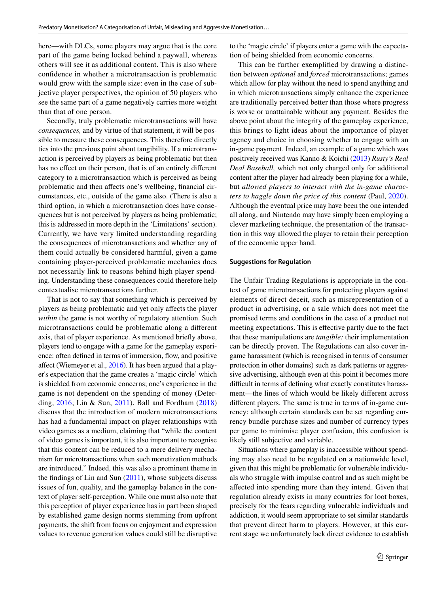here—with DLCs, some players may argue that is the core part of the game being locked behind a paywall, whereas others will see it as additional content. This is also where confdence in whether a microtransaction is problematic would grow with the sample size: even in the case of subjective player perspectives, the opinion of 50 players who see the same part of a game negatively carries more weight than that of one person.

Secondly, truly problematic microtransactions will have *consequences,* and by virtue of that statement, it will be possible to measure these consequences. This therefore directly ties into the previous point about tangibility. If a microtransaction is perceived by players as being problematic but then has no effect on their person, that is of an entirely different category to a microtransaction which is perceived as being problematic and then afects one's wellbeing, fnancial circumstances, etc., outside of the game also. (There is also a third option, in which a microtransaction does have consequences but is not perceived by players as being problematic; this is addressed in more depth in the 'Limitations' section). Currently, we have very limited understanding regarding the consequences of microtransactions and whether any of them could actually be considered harmful, given a game containing player-perceived problematic mechanics does not necessarily link to reasons behind high player spending. Understanding these consequences could therefore help contextualise microtransactions further.

That is not to say that something which is perceived by players as being problematic and yet only afects the player *within* the game is not worthy of regulatory attention. Such microtransactions could be problematic along a diferent axis, that of player experience. As mentioned briefy above, players tend to engage with a game for the gameplay experience: often defined in terms of immersion, flow, and positive afect (Wiemeyer et al., [2016](#page-15-26)). It has been argued that a player's expectation that the game creates a 'magic circle' which is shielded from economic concerns; one's experience in the game is not dependent on the spending of money (Deterding, [2016;](#page-15-27) Lin & Sun, [2011](#page-15-15)). Ball and Fordham ([2018\)](#page-15-28) discuss that the introduction of modern microtransactions has had a fundamental impact on player relationships with video games as a medium, claiming that "while the content of video games is important, it is also important to recognise that this content can be reduced to a mere delivery mechanism for microtransactions when such monetization methods are introduced." Indeed, this was also a prominent theme in the fndings of Lin and Sun ([2011\)](#page-15-15), whose subjects discuss issues of fun, quality, and the gameplay balance in the context of player self-perception. While one must also note that this perception of player experience has in part been shaped by established game design norms stemming from upfront payments, the shift from focus on enjoyment and expression values to revenue generation values could still be disruptive to the 'magic circle' if players enter a game with the expectation of being shielded from economic concerns.

This can be further exemplifed by drawing a distinction between *optional* and *forced* microtransactions; games which allow for play without the need to spend anything and in which microtransactions simply enhance the experience are traditionally perceived better than those where progress is worse or unattainable without any payment. Besides the above point about the integrity of the gameplay experience, this brings to light ideas about the importance of player agency and choice in choosing whether to engage with an in-game payment. Indeed, an example of a game which was positively received was Kanno & Koichi [\(2013](#page-15-29)) *Rusty's Real Deal Baseball,* which not only charged only for additional content after the player had already been playing for a while, but *allowed players to interact with the in-game characters to haggle down the price of this content* (Paul, [2020](#page-15-1)). Although the eventual price may have been the one intended all along, and Nintendo may have simply been employing a clever marketing technique, the presentation of the transaction in this way allowed the player to retain their perception of the economic upper hand.

#### **Suggestions for Regulation**

The Unfair Trading Regulations is appropriate in the context of game microtransactions for protecting players against elements of direct deceit, such as misrepresentation of a product in advertising, or a sale which does not meet the promised terms and conditions in the case of a product not meeting expectations. This is efective partly due to the fact that these manipulations are *tangible:* their implementation can be directly proven. The Regulations can also cover ingame harassment (which is recognised in terms of consumer protection in other domains) such as dark patterns or aggressive advertising, although even at this point it becomes more difficult in terms of defining what exactly constitutes harassment—the lines of which would be likely diferent across diferent players. The same is true in terms of in-game currency: although certain standards can be set regarding currency bundle purchase sizes and number of currency types per game to minimise player confusion, this confusion is likely still subjective and variable.

Situations where gameplay is inaccessible without spending may also need to be regulated on a nationwide level, given that this might be problematic for vulnerable individuals who struggle with impulse control and as such might be afected into spending more than they intend. Given that regulation already exists in many countries for loot boxes, precisely for the fears regarding vulnerable individuals and addiction, it would seem appropriate to set similar standards that prevent direct harm to players. However, at this current stage we unfortunately lack direct evidence to establish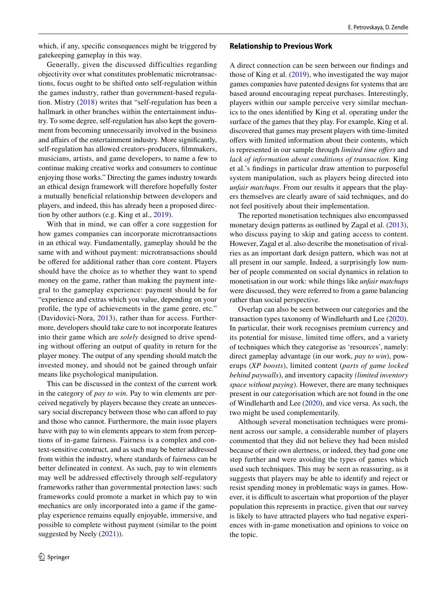which, if any, specific consequences might be triggered by gatekeeping gameplay in this way.

Generally, given the discussed difficulties regarding objectivity over what constitutes problematic microtransactions, focus ought to be shifted onto self-regulation within the games industry, rather than government-based regulation. Mistry ([2018](#page-15-30)) writes that "self-regulation has been a hallmark in other branches within the entertainment industry. To some degree, self-regulation has also kept the government from becoming unnecessarily involved in the business and afairs of the entertainment industry. More signifcantly, self-regulation has allowed creators-producers, flmmakers, musicians, artists, and game developers, to name a few to continue making creative works and consumers to continue enjoying those works." Directing the games industry towards an ethical design framework will therefore hopefully foster a mutually benefcial relationship between developers and players, and indeed, this has already been a proposed direction by other authors (e.g. King et al., [2019\)](#page-15-18).

With that in mind, we can offer a core suggestion for how games companies can incorporate microtransactions in an ethical way. Fundamentally, gameplay should be the same with and without payment: microtransactions should be offered for additional rather than core content. Players should have the choice as to whether they want to spend money on the game, rather than making the payment integral to the gameplay experience: payment should be for "experience and extras which you value, depending on your profle, the type of achievements in the game genre, etc." (Davidovici-Nora, [2013](#page-15-31)), rather than for access. Furthermore, developers should take care to not incorporate features into their game which are *solely* designed to drive spending without offering an output of quality in return for the player money. The output of any spending should match the invested money, and should not be gained through unfair means like psychological manipulation.

This can be discussed in the context of the current work in the category of *pay to win.* Pay to win elements are perceived negatively by players because they create an unnecessary social discrepancy between those who can afford to pay and those who cannot. Furthermore, the main issue players have with pay to win elements appears to stem from perceptions of in-game fairness. Fairness is a complex and context-sensitive construct, and as such may be better addressed from within the industry, where standards of fairness can be better delineated in context. As such, pay to win elements may well be addressed efectively through self-regulatory frameworks rather than governmental protection laws: such frameworks could promote a market in which pay to win mechanics are only incorporated into a game if the gameplay experience remains equally enjoyable, immersive, and possible to complete without payment (similar to the point suggested by Neely ([2021](#page-15-32))).

#### **Relationship to Previous Work**

A direct connection can be seen between our fndings and those of King et al. ([2019\)](#page-15-18), who investigated the way major games companies have patented designs for systems that are based around encouraging repeat purchases. Interestingly, players within our sample perceive very similar mechanics to the ones identifed by King et al. operating under the surface of the games that they play. For example, King et al. discovered that games may present players with time-limited ofers with limited information about their contents, which is represented in our sample through *limited time ofers* and *lack of information about conditions of transaction.* King et al.'s fndings in particular draw attention to purposeful system manipulation, such as players being directed into *unfair matchups*. From our results it appears that the players themselves are clearly aware of said techniques, and do not feel positively about their implementation.

The reported monetisation techniques also encompassed monetary design patterns as outlined by Zagal et al. [\(2013](#page-16-0)), who discuss paying to skip and gating access to content. However, Zagal et al. also describe the monetisation of rivalries as an important dark design pattern, which was not at all present in our sample. Indeed, a surprisingly low number of people commented on social dynamics in relation to monetisation in our work: while things like *unfair matchups* were discussed, they were referred to from a game balancing rather than social perspective.

Overlap can also be seen between our categories and the transaction types taxonomy of Windleharth and Lee [\(2020](#page-15-17)). In particular, their work recognises premium currency and its potential for misuse, limited time offers, and a variety of techniques which they categorise as 'resources', namely: direct gameplay advantage (in our work, *pay to win*), powerups (*XP boosts*), limited content (*parts of game locked behind paywalls*), and inventory capacity *(limited inventory space without paying*). However, there are many techniques present in our categorisation which are not found in the one of Windleharth and Lee [\(2020](#page-15-17)), and vice versa. As such, the two might be used complementarily.

Although several monetisation techniques were prominent across our sample, a considerable number of players commented that they did not believe they had been misled because of their own alertness, or indeed, they had gone one step further and were avoiding the types of games which used such techniques. This may be seen as reassuring, as it suggests that players may be able to identify and reject or resist spending money in problematic ways in games. However, it is difficult to ascertain what proportion of the player population this represents in practice, given that our survey is likely to have attracted players who had negative experiences with in-game monetisation and opinions to voice on the topic.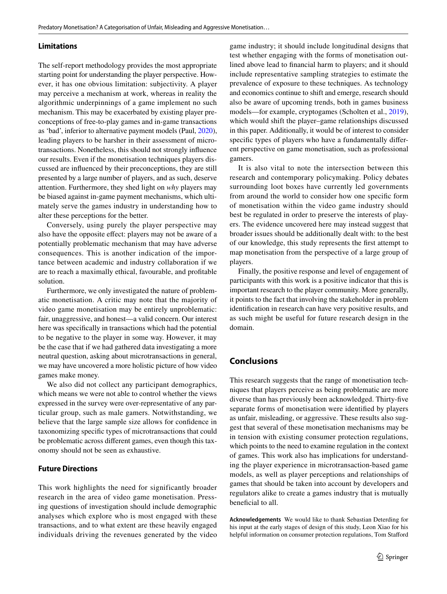### **Limitations**

The self-report methodology provides the most appropriate starting point for understanding the player perspective. However, it has one obvious limitation: subjectivity. A player may perceive a mechanism at work, whereas in reality the algorithmic underpinnings of a game implement no such mechanism. This may be exacerbated by existing player preconceptions of free-to-play games and in-game transactions as 'bad', inferior to alternative payment models (Paul, [2020](#page-15-1)), leading players to be harsher in their assessment of microtransactions. Nonetheless, this should not strongly infuence our results. Even if the monetisation techniques players discussed are infuenced by their preconceptions, they are still presented by a large number of players, and as such, deserve attention. Furthermore, they shed light on *why* players may be biased against in-game payment mechanisms, which ultimately serve the games industry in understanding how to alter these perceptions for the better.

Conversely, using purely the player perspective may also have the opposite efect: players may not be aware of a potentially problematic mechanism that may have adverse consequences. This is another indication of the importance between academic and industry collaboration if we are to reach a maximally ethical, favourable, and proftable solution.

Furthermore, we only investigated the nature of problematic monetisation. A critic may note that the majority of video game monetisation may be entirely unproblematic: fair, unaggressive, and honest—a valid concern. Our interest here was specifcally in transactions which had the potential to be negative to the player in some way. However, it may be the case that if we had gathered data investigating a more neutral question, asking about microtransactions in general, we may have uncovered a more holistic picture of how video games make money.

We also did not collect any participant demographics, which means we were not able to control whether the views expressed in the survey were over-representative of any particular group, such as male gamers. Notwithstanding, we believe that the large sample size allows for confdence in taxonomizing specifc types of microtransactions that could be problematic across diferent games, even though this taxonomy should not be seen as exhaustive.

### **Future Directions**

This work highlights the need for significantly broader research in the area of video game monetisation. Pressing questions of investigation should include demographic analyses which explore who is most engaged with these transactions, and to what extent are these heavily engaged individuals driving the revenues generated by the video game industry; it should include longitudinal designs that test whether engaging with the forms of monetisation outlined above lead to fnancial harm to players; and it should include representative sampling strategies to estimate the prevalence of exposure to these techniques. As technology and economics continue to shift and emerge, research should also be aware of upcoming trends, both in games business models—for example, cryptogames (Scholten et al., [2019](#page-15-33)), which would shift the player–game relationships discussed in this paper. Additionally, it would be of interest to consider specific types of players who have a fundamentally different perspective on game monetisation, such as professional gamers.

It is also vital to note the intersection between this research and contemporary policymaking. Policy debates surrounding loot boxes have currently led governments from around the world to consider how one specifc form of monetisation within the video game industry should best be regulated in order to preserve the interests of players. The evidence uncovered here may instead suggest that broader issues should be additionally dealt with: to the best of our knowledge, this study represents the frst attempt to map monetisation from the perspective of a large group of players.

Finally, the positive response and level of engagement of participants with this work is a positive indicator that this is important research to the player community. More generally, it points to the fact that involving the stakeholder in problem identifcation in research can have very positive results, and as such might be useful for future research design in the domain.

## **Conclusions**

This research suggests that the range of monetisation techniques that players perceive as being problematic are more diverse than has previously been acknowledged. Thirty-fve separate forms of monetisation were identifed by players as unfair, misleading, or aggressive. These results also suggest that several of these monetisation mechanisms may be in tension with existing consumer protection regulations, which points to the need to examine regulation in the context of games. This work also has implications for understanding the player experience in microtransaction-based game models, as well as player perceptions and relationships of games that should be taken into account by developers and regulators alike to create a games industry that is mutually beneficial to all.

**Acknowledgements** We would like to thank Sebastian Deterding for his input at the early stages of design of this study, Leon Xiao for his helpful information on consumer protection regulations, Tom Staford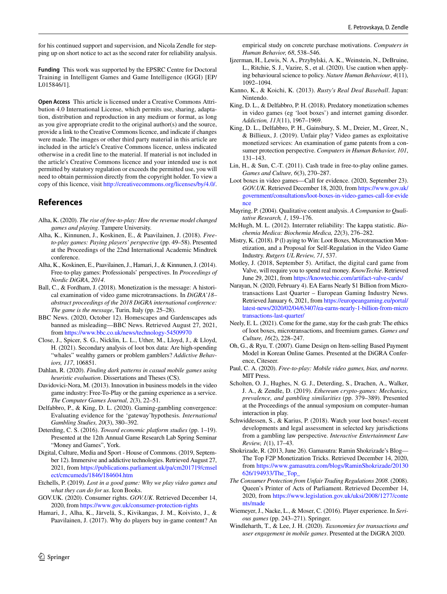for his continued support and supervision, and Nicola Zendle for stepping up on short notice to act as the second rater for reliability analysis.

**Funding** This work was supported by the EPSRC Centre for Doctoral Training in Intelligent Games and Game Intelligence (IGGI) [EP/ L015846/1].

**Open Access** This article is licensed under a Creative Commons Attribution 4.0 International License, which permits use, sharing, adaptation, distribution and reproduction in any medium or format, as long as you give appropriate credit to the original author(s) and the source, provide a link to the Creative Commons licence, and indicate if changes were made. The images or other third party material in this article are included in the article's Creative Commons licence, unless indicated otherwise in a credit line to the material. If material is not included in the article's Creative Commons licence and your intended use is not permitted by statutory regulation or exceeds the permitted use, you will need to obtain permission directly from the copyright holder. To view a copy of this licence, visit <http://creativecommons.org/licenses/by/4.0/>.

## **References**

- <span id="page-15-0"></span>Alha, K. (2020). *The rise of free-to-play: How the revenue model changed games and playing*. Tampere University.
- <span id="page-15-16"></span>Alha, K., Kinnunen, J., Koskinen, E., & Paavilainen, J. (2018). *Freeto-play games: Paying players' perspective* (pp. 49–58). Presented at the Proceedings of the 22nd International Academic Mindtrek conference.
- <span id="page-15-5"></span>Alha, K., Koskinen, E., Paavilainen, J., Hamari, J., & Kinnunen, J. (2014). Free-to-play games: Professionals' perspectives. In *Proceedings of Nordic DiGRA*, *2014*.
- <span id="page-15-28"></span>Ball, C., & Fordham, J. (2018). Monetization is the message: A historical examination of video game microtransactions. In *DiGRA'18– abstract proceedings of the 2018 DiGRA international conference: The game is the message*, Turin, Italy (pp. 25–28).
- <span id="page-15-11"></span>BBC News. (2020, October 12). Homescapes and Gardenscapes ads banned as misleading—BBC News. Retrieved August 27, 2021, from<https://www.bbc.co.uk/news/technology-54509970>
- <span id="page-15-25"></span>Close, J., Spicer, S. G., Nicklin, L. L., Uther, M., Lloyd, J., & Lloyd, H. (2021). Secondary analysis of loot box data: Are high-spending "whales" wealthy gamers or problem gamblers? *Addictive Behaviors, 117*, 106851.
- <span id="page-15-19"></span>Dahlan, R. (2020). *Finding dark patterns in casual mobile games using heuristic evaluation*. Dissertations and Theses (CS).
- <span id="page-15-31"></span>Davidovici-Nora, M. (2013). Innovation in business models in the video game industry: Free-To-Play or the gaming experience as a service. *The Computer Games Journal, 2*(3), 22–51.
- <span id="page-15-7"></span>Delfabbro, P., & King, D. L. (2020). Gaming-gambling convergence: Evaluating evidence for the 'gateway'hypothesis. *International Gambling Studies, 20*(3), 380–392.
- <span id="page-15-27"></span>Deterding, C. S. (2016). *Toward economic platform studies* (pp. 1–19). Presented at the 12th Annual Game Research Lab Spring Seminar "Money and Games", York.
- <span id="page-15-8"></span>Digital, Culture, Media and Sport - House of Commons. (2019, September 12). Immersive and addictive technologies. Retrieved August 27, 2021, from [https://publications.parliament.uk/pa/cm201719/cmsel](https://publications.parliament.uk/pa/cm201719/cmselect/cmcumeds/1846/184604.htm) [ect/cmcumeds/1846/184604.htm](https://publications.parliament.uk/pa/cm201719/cmselect/cmcumeds/1846/184604.htm)
- <span id="page-15-9"></span>Etchells, P. (2019). *Lost in a good game: Why we play video games and what they can do for us*. Icon Books.
- <span id="page-15-13"></span>GOV.UK. (2020). Consumer rights. *GOV.UK*. Retrieved December 14, 2020, from<https://www.gov.uk/consumer-protection-rights>
- <span id="page-15-20"></span>Hamari, J., Alha, K., Järvelä, S., Kivikangas, J. M., Koivisto, J., & Paavilainen, J. (2017). Why do players buy in-game content? An

empirical study on concrete purchase motivations. *Computers in Human Behavior, 68*, 538–546.

- <span id="page-15-21"></span>Ijzerman, H., Lewis, N. A., Przybylski, A. K., Weinstein, N., DeBruine, L., Ritchie, S. J., Vazire, S., et al. (2020). Use caution when applying behavioural science to policy. *Nature Human Behaviour*, *4*(11), 1092–1094.
- <span id="page-15-29"></span>Kanno, K., & Koichi, K. (2013). *Rusty's Real Deal Baseball*. Japan: Nintendo.
- <span id="page-15-6"></span>King, D. L., & Delfabbro, P. H. (2018). Predatory monetization schemes in video games (eg 'loot boxes') and internet gaming disorder. *Addiction, 113*(11), 1967–1969.
- <span id="page-15-18"></span>King, D. L., Delfabbro, P. H., Gainsbury, S. M., Dreier, M., Greer, N., & Billieux, J. (2019). Unfair play? Video games as exploitative monetized services: An examination of game patents from a consumer protection perspective. *Computers in Human Behavior, 101*, 131–143.
- <span id="page-15-15"></span>Lin, H., & Sun, C.-T. (2011). Cash trade in free-to-play online games. *Games and Culture, 6*(3), 270–287.
- <span id="page-15-10"></span>Loot boxes in video games—Call for evidence. (2020, September 23). *GOV.UK*. Retrieved December 18, 2020, from [https://www.gov.uk/](https://www.gov.uk/government/consultations/loot-boxes-in-video-games-call-for-evidence) [government/consultations/loot-boxes-in-video-games-call-for-evide](https://www.gov.uk/government/consultations/loot-boxes-in-video-games-call-for-evidence) [nce](https://www.gov.uk/government/consultations/loot-boxes-in-video-games-call-for-evidence)
- <span id="page-15-22"></span>Mayring, P. (2004). Qualitative content analysis. *A Companion to Qualitative Research, 1*, 159–176.
- <span id="page-15-23"></span>McHugh, M. L. (2012). Interrater reliability: The kappa statistic. *Biochemia Medica: Biochemia Medica, 22*(3), 276–282.
- <span id="page-15-30"></span>Mistry, K. (2018). P (l) aying to Win: Loot Boxes, Microtransaction Monetization, and a Proposal for Self-Regulation in the Video Game Industry. *Rutgers UL Review, 71*, 537.
- <span id="page-15-24"></span>Motley, J. (2018, September 5). Artifact, the digital card game from Valve, will require you to spend real money. *KnowTechie*. Retrieved June 29, 2021, from<https://knowtechie.com/artifact-valve-cards/>
- <span id="page-15-4"></span>Narayan, N. (2020, February 4). EA Earns Nearly \$1 Billion from Microtransactions Last Quarter – European Gaming Industry News. Retrieved January 6, 2021, from [https://europeangaming.eu/portal/](https://europeangaming.eu/portal/latest-news/2020/02/04/63407/ea-earns-nearly-1-billion-from-microtransactions-last-quarter/) [latest-news/2020/02/04/63407/ea-earns-nearly-1-billion-from-micro](https://europeangaming.eu/portal/latest-news/2020/02/04/63407/ea-earns-nearly-1-billion-from-microtransactions-last-quarter/) [transactions-last-quarter/](https://europeangaming.eu/portal/latest-news/2020/02/04/63407/ea-earns-nearly-1-billion-from-microtransactions-last-quarter/)
- <span id="page-15-32"></span>Neely, E. L. (2021). Come for the game, stay for the cash grab: The ethics of loot boxes, microtransactions, and freemium games. *Games and Culture, 16*(2), 228–247.
- <span id="page-15-3"></span>Oh, G., & Ryu, T. (2007). Game Design on Item-selling Based Payment Model in Korean Online Games. Presented at the DiGRA Conference, Citeseer.
- <span id="page-15-1"></span>Paul, C. A. (2020). *Free-to-play: Mobile video games, bias, and norms*. MIT Press.
- <span id="page-15-33"></span>Scholten, O. J., Hughes, N. G. J., Deterding, S., Drachen, A., Walker, J. A., & Zendle, D. (2019). *Ethereum crypto-games: Mechanics, prevalence, and gambling similarities* (pp. 379–389). Presented at the Proceedings of the annual symposium on computer–human interaction in play.
- <span id="page-15-2"></span>Schwiddessen, S., & Karius, P. (2018). Watch your loot boxes!–recent developments and legal assessment in selected key jurisdictions from a gambling law perspective. *Interactive Entertainment Law Review, 1*(1), 17–43.
- <span id="page-15-14"></span>Shokrizade, R. (2013, June 26). Gamasutra: Ramin Shokrizade's Blog— The Top F2P Monetization Tricks. Retrieved December 14, 2020, from [https://www.gamasutra.com/blogs/RaminShokrizade/20130](https://www.gamasutra.com/blogs/RaminShokrizade/20130626/194933/The_Top_) [626/194933/The\\_Top\\_](https://www.gamasutra.com/blogs/RaminShokrizade/20130626/194933/The_Top_)
- <span id="page-15-12"></span>*The Consumer Protection from Unfair Trading Regulations 2008*. (2008). Queen's Printer of Acts of Parliament. Retrieved December 14, 2020, from [https://www.legislation.gov.uk/uksi/2008/1277/conte](https://www.legislation.gov.uk/uksi/2008/1277/contents/made) [nts/made](https://www.legislation.gov.uk/uksi/2008/1277/contents/made)
- <span id="page-15-26"></span>Wiemeyer, J., Nacke, L., & Moser, C. (2016). Player experience. In *Serious games* (pp. 243–271). Springer.
- <span id="page-15-17"></span>Windleharth, T., & Lee, J. H. (2020). *Taxonomies for transactions and user engagement in mobile games*. Presented at the DiGRA 2020.